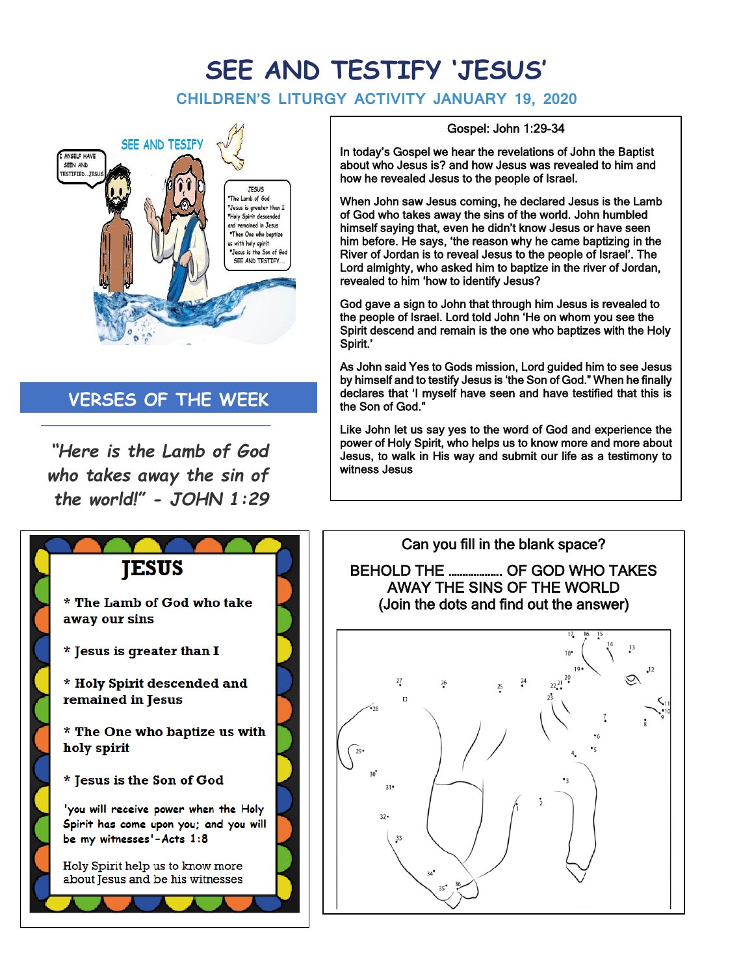## **SEE AND TESTIFY 'JESUS'**

## **CHILDREN'S LITURGY ACTIVITY JANUARY 19, 2020**



## **VERSES OF THE WEEK**

*"Here is the Lamb of God who takes away the sin of the world!" - JOHN 1:29*



## Gospel: John 1:29-34

In today's Gospel we hear the revelations of John the Baptist about who Jesus is? and how Jesus was revealed to him and how he revealed Jesus to the people of Israel.

When John saw Jesus coming, he declared Jesus is the Lamb of God who takes away the sins of the world. John humbled himself saying that, even he didn't know Jesus or have seen him before. He says, 'the reason why he came baptizing in the River of Jordan is to reveal Jesus to the people of Israel'. The Lord almighty, who asked him to baptize in the river of Jordan, revealed to him 'how to identify Jesus?

God gave a sign to John that through him Jesus is revealed to the people of Israel. Lord told John 'He on whom you see the Spirit descend and remain is the one who baptizes with the Holy Spirit.'

As John said Yes to Gods mission, Lord guided him to see Jesus by himself and to testify Jesus is 'the Son of God." When he finally declares that 'I myself have seen and have testified that this is the Son of God."

Like John let us say yes to the word of God and experience the power of Holy Spirit, who helps us to know more and more about Jesus, to walk in His way and submit our life as a testimony to witness Jesus